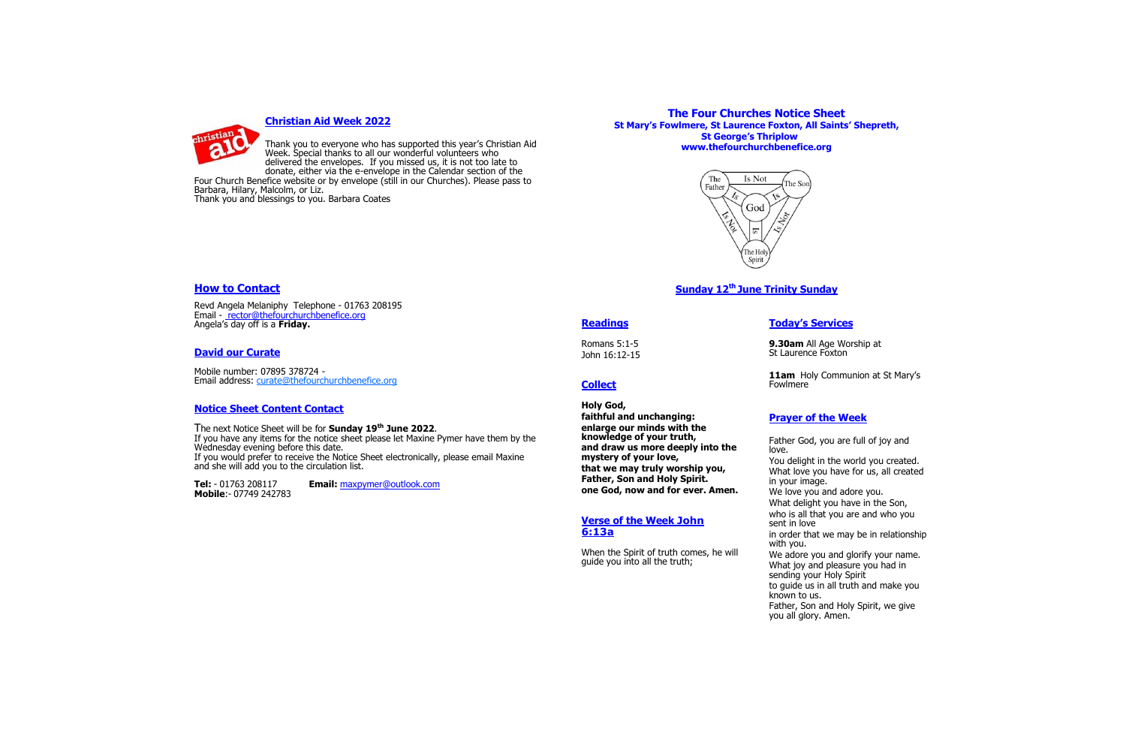

#### **Christian Aid Week 2022**

Thank you to everyone who has supported this year's Christian Aid Week. Special thanks to all our wonderful volunteers who delivered the envelopes. If you missed us, it is not too late to donate, either via the e-envelope in the Calendar section of the

Four Church Benefice website or by envelope (still in our Churches). Please pass to Barbara, Hilary, Malcolm, or Liz. Thank you and blessings to you. Barbara Coates

# **How to Contact**

Revd Angela Melaniphy Telephone - 01763 208195 Email - rector@thefourchurchbenefice.org Angela's day off is a **Friday.**

# **David our Curate**

Mobile number: 07895 378724 - Email address: [curate@thefourchurchbenefice.org](mailto:curate@thefourchurchbenefice.org)

#### **Notice Sheet Content Contact**

The next Notice Sheet will be for **Sunday 19th June 2022**. If you have any items for the notice sheet please let Maxine Pymer have them by the Wednesday evening before this date. If you would prefer to receive the Notice Sheet electronically, please email Maxine and she will add you to the circulation list.

> sending your Holy Spirit to guide us in all truth and make you

**Tel:** - 01763 208117 **Email:** maxpymer@outlook.com

**Mobile**:- 07749 242783

**Readings** 

Romans 5:1-5 John 16:12-15

**Collect**

**Holy God,**

**faithful and unchanging: enlarge our minds with the knowledge of your truth, and draw us more deeply into the that we may truly worship you, Father, Son and Holy Spirit. one God, now and for ever. Amen.** 

**mystery of your love,**

**Verse of the Week John 6:13a** 

When the Spirit of truth comes, he will guide you into all the truth;

# **Today's Services**

11am Holy Communion at St Mary's

**9.30am** All Age Worship at St Laurence Foxton

Fowlmere

# **Prayer of the Week**

Father God, you are full of joy and love. You delight in the world you created. What love you have for us, all created in your image. We love you and adore you. What delight you have in the Son, who is all that you are and who you sent in love in order that we may be in relationship with you. We adore you and glorify your name. What joy and pleasure you had in

known to us.

Father, Son and Holy Spirit, we give you all glory. Amen.

# **The Four Churches Notice Sheet St Mary's Fowlmere, St Laurence Foxton, All Saints' Shepreth, St George's Thriplow www.thefourchurchbenefice.org**



# **Sunday 12th June Trinity Sunday**